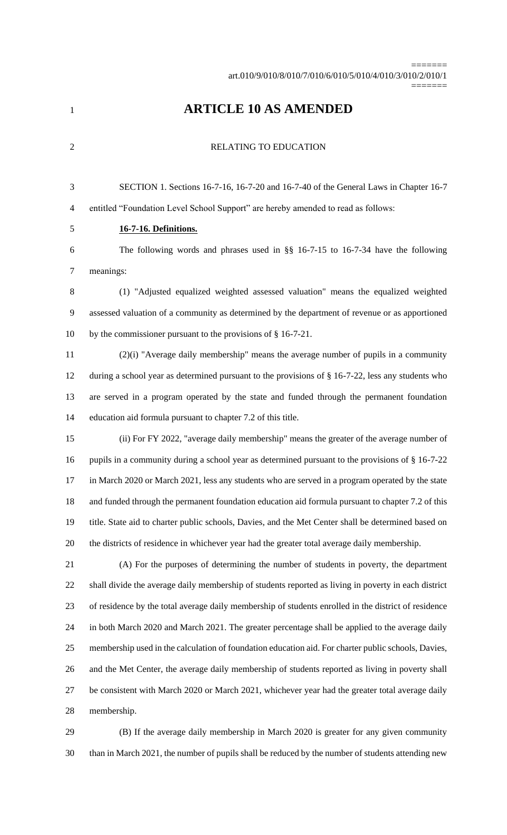=======

# **ARTICLE 10 AS AMENDED**

2 RELATING TO EDUCATION

 SECTION 1. Sections 16-7-16, 16-7-20 and 16-7-40 of the General Laws in Chapter 16-7 entitled "Foundation Level School Support" are hereby amended to read as follows:

# **16-7-16. Definitions.**

 The following words and phrases used in §§ 16-7-15 to 16-7-34 have the following meanings:

 (1) "Adjusted equalized weighted assessed valuation" means the equalized weighted assessed valuation of a community as determined by the department of revenue or as apportioned by the commissioner pursuant to the provisions of § 16-7-21.

 (2)(i) "Average daily membership" means the average number of pupils in a community during a school year as determined pursuant to the provisions of § 16-7-22, less any students who are served in a program operated by the state and funded through the permanent foundation education aid formula pursuant to chapter 7.2 of this title.

 (ii) For FY 2022, "average daily membership" means the greater of the average number of 16 pupils in a community during a school year as determined pursuant to the provisions of § 16-7-22 in March 2020 or March 2021, less any students who are served in a program operated by the state 18 and funded through the permanent foundation education aid formula pursuant to chapter 7.2 of this title. State aid to charter public schools, Davies, and the Met Center shall be determined based on the districts of residence in whichever year had the greater total average daily membership.

 (A) For the purposes of determining the number of students in poverty, the department shall divide the average daily membership of students reported as living in poverty in each district of residence by the total average daily membership of students enrolled in the district of residence in both March 2020 and March 2021. The greater percentage shall be applied to the average daily membership used in the calculation of foundation education aid. For charter public schools, Davies, and the Met Center, the average daily membership of students reported as living in poverty shall be consistent with March 2020 or March 2021, whichever year had the greater total average daily membership.

 (B) If the average daily membership in March 2020 is greater for any given community than in March 2021, the number of pupils shall be reduced by the number of students attending new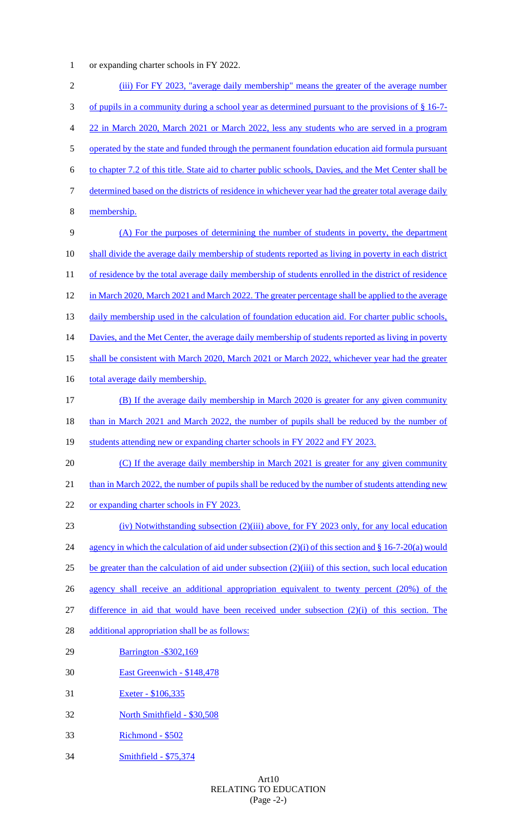or expanding charter schools in FY 2022.

| $\overline{2}$ | (iii) For FY 2023, "average daily membership" means the greater of the average number                    |
|----------------|----------------------------------------------------------------------------------------------------------|
| 3              | of pupils in a community during a school year as determined pursuant to the provisions of $\S$ 16-7-     |
| 4              | 22 in March 2020, March 2021 or March 2022, less any students who are served in a program                |
| 5              | operated by the state and funded through the permanent foundation education aid formula pursuant         |
| 6              | to chapter 7.2 of this title. State aid to charter public schools, Davies, and the Met Center shall be   |
| 7              | determined based on the districts of residence in whichever year had the greater total average daily     |
| 8              | membership.                                                                                              |
| 9              | (A) For the purposes of determining the number of students in poverty, the department                    |
| 10             | shall divide the average daily membership of students reported as living in poverty in each district     |
| 11             | of residence by the total average daily membership of students enrolled in the district of residence     |
| 12             | in March 2020, March 2021 and March 2022. The greater percentage shall be applied to the average         |
| 13             | daily membership used in the calculation of foundation education aid. For charter public schools,        |
| 14             | Davies, and the Met Center, the average daily membership of students reported as living in poverty       |
| 15             | shall be consistent with March 2020, March 2021 or March 2022, whichever year had the greater            |
| 16             | total average daily membership.                                                                          |
| 17             | (B) If the average daily membership in March 2020 is greater for any given community                     |
| 18             | than in March 2021 and March 2022, the number of pupils shall be reduced by the number of                |
| 19             | students attending new or expanding charter schools in FY 2022 and FY 2023.                              |
| 20             | (C) If the average daily membership in March 2021 is greater for any given community                     |
| 21             | than in March 2022, the number of pupils shall be reduced by the number of students attending new        |
| 22             | or expanding charter schools in FY 2023.                                                                 |
| 23             | (iv) Notwithstanding subsection (2)(iii) above, for FY 2023 only, for any local education                |
| 24             | agency in which the calculation of aid under subsection $(2)(i)$ of this section and § 16-7-20(a) would  |
| 25             | be greater than the calculation of aid under subsection $(2)(iii)$ of this section, such local education |
| 26             | agency shall receive an additional appropriation equivalent to twenty percent (20%) of the               |
| 27             | difference in aid that would have been received under subsection $(2)(i)$ of this section. The           |
| 28             | additional appropriation shall be as follows:                                                            |
| 29             | <b>Barrington -\$302,169</b>                                                                             |
| 30             | East Greenwich - \$148,478                                                                               |
| 31             | Exeter - \$106,335                                                                                       |
| 32             | North Smithfield - \$30,508                                                                              |
| 33             | Richmond - \$502                                                                                         |
| 34             | Smithfield - \$75,374                                                                                    |
|                |                                                                                                          |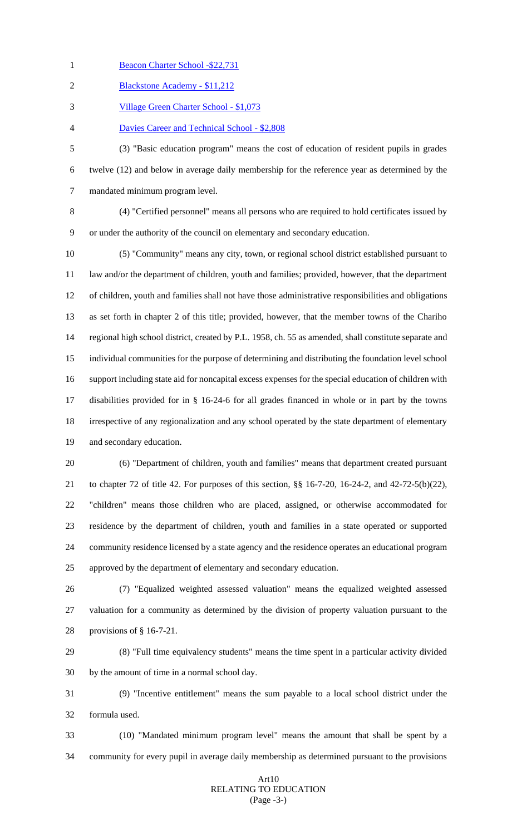- 1 Beacon Charter School -\$22,731
- Blackstone Academy \$11,212
- Village Green Charter School \$1,073
- Davies Career and Technical School \$2,808

 (3) "Basic education program" means the cost of education of resident pupils in grades twelve (12) and below in average daily membership for the reference year as determined by the mandated minimum program level.

 (4) "Certified personnel" means all persons who are required to hold certificates issued by or under the authority of the council on elementary and secondary education.

 (5) "Community" means any city, town, or regional school district established pursuant to law and/or the department of children, youth and families; provided, however, that the department of children, youth and families shall not have those administrative responsibilities and obligations as set forth in chapter 2 of this title; provided, however, that the member towns of the Chariho regional high school district, created by P.L. 1958, ch. 55 as amended, shall constitute separate and individual communities for the purpose of determining and distributing the foundation level school support including state aid for noncapital excess expenses for the special education of children with disabilities provided for in § 16-24-6 for all grades financed in whole or in part by the towns irrespective of any regionalization and any school operated by the state department of elementary and secondary education.

 (6) "Department of children, youth and families" means that department created pursuant to chapter 72 of title 42. For purposes of this section, §§ 16-7-20, 16-24-2, and 42-72-5(b)(22), "children" means those children who are placed, assigned, or otherwise accommodated for residence by the department of children, youth and families in a state operated or supported community residence licensed by a state agency and the residence operates an educational program approved by the department of elementary and secondary education.

 (7) "Equalized weighted assessed valuation" means the equalized weighted assessed valuation for a community as determined by the division of property valuation pursuant to the provisions of § 16-7-21.

 (8) "Full time equivalency students" means the time spent in a particular activity divided by the amount of time in a normal school day.

 (9) "Incentive entitlement" means the sum payable to a local school district under the formula used.

 (10) "Mandated minimum program level" means the amount that shall be spent by a community for every pupil in average daily membership as determined pursuant to the provisions

### Art10 RELATING TO EDUCATION (Page -3-)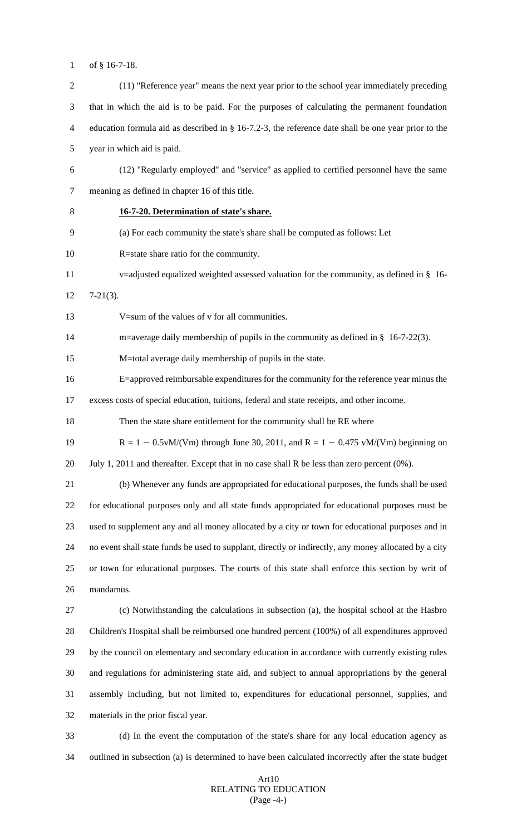of § 16-7-18.

 (11) "Reference year" means the next year prior to the school year immediately preceding that in which the aid is to be paid. For the purposes of calculating the permanent foundation education formula aid as described in § 16-7.2-3, the reference date shall be one year prior to the year in which aid is paid. (12) "Regularly employed" and "service" as applied to certified personnel have the same meaning as defined in chapter 16 of this title. **16-7-20. Determination of state's share.** (a) For each community the state's share shall be computed as follows: Let R=state share ratio for the community. v=adjusted equalized weighted assessed valuation for the community, as defined in § 16- 7-21(3). V=sum of the values of v for all communities. m=average daily membership of pupils in the community as defined in § 16-7-22(3). M=total average daily membership of pupils in the state. E=approved reimbursable expenditures for the community for the reference year minus the excess costs of special education, tuitions, federal and state receipts, and other income. Then the state share entitlement for the community shall be RE where R = 1 − 0.5vM/(Vm) through June 30, 2011, and R = 1 − 0.475 vM/(Vm) beginning on 20 July 1, 2011 and thereafter. Except that in no case shall R be less than zero percent (0%). (b) Whenever any funds are appropriated for educational purposes, the funds shall be used for educational purposes only and all state funds appropriated for educational purposes must be used to supplement any and all money allocated by a city or town for educational purposes and in no event shall state funds be used to supplant, directly or indirectly, any money allocated by a city or town for educational purposes. The courts of this state shall enforce this section by writ of mandamus. (c) Notwithstanding the calculations in subsection (a), the hospital school at the Hasbro Children's Hospital shall be reimbursed one hundred percent (100%) of all expenditures approved by the council on elementary and secondary education in accordance with currently existing rules and regulations for administering state aid, and subject to annual appropriations by the general assembly including, but not limited to, expenditures for educational personnel, supplies, and materials in the prior fiscal year. (d) In the event the computation of the state's share for any local education agency as outlined in subsection (a) is determined to have been calculated incorrectly after the state budget

### Art10 RELATING TO EDUCATION (Page -4-)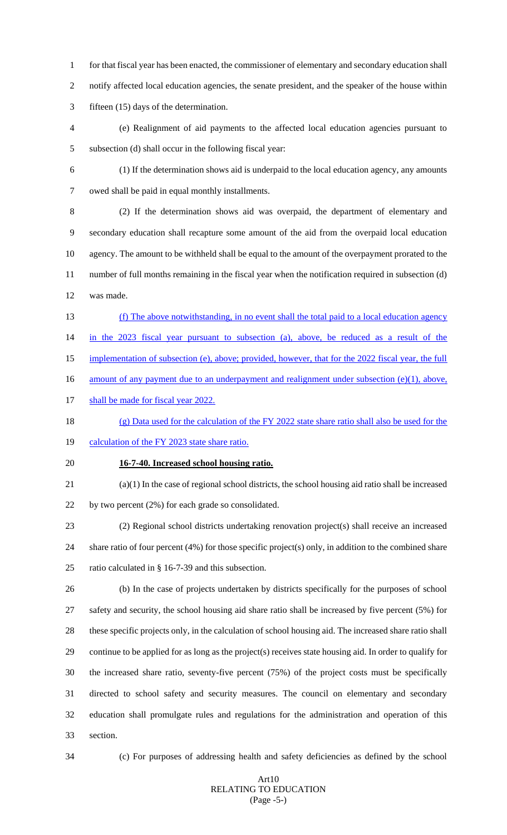for that fiscal year has been enacted, the commissioner of elementary and secondary education shall notify affected local education agencies, the senate president, and the speaker of the house within fifteen (15) days of the determination.

 (e) Realignment of aid payments to the affected local education agencies pursuant to subsection (d) shall occur in the following fiscal year:

(1) If the determination shows aid is underpaid to the local education agency, any amounts

owed shall be paid in equal monthly installments.

 (2) If the determination shows aid was overpaid, the department of elementary and secondary education shall recapture some amount of the aid from the overpaid local education agency. The amount to be withheld shall be equal to the amount of the overpayment prorated to the number of full months remaining in the fiscal year when the notification required in subsection (d) was made.

- (f) The above notwithstanding, in no event shall the total paid to a local education agency in the 2023 fiscal year pursuant to subsection (a), above, be reduced as a result of the
- implementation of subsection (e), above; provided, however, that for the 2022 fiscal year, the full
- 16 amount of any payment due to an underpayment and realignment under subsection (e)(1), above,
- 17 shall be made for fiscal year 2022.
- (g) Data used for the calculation of the FY 2022 state share ratio shall also be used for the
- 19 calculation of the FY 2023 state share ratio.
- **16-7-40. Increased school housing ratio.**
- (a)(1) In the case of regional school districts, the school housing aid ratio shall be increased by two percent (2%) for each grade so consolidated.

 (2) Regional school districts undertaking renovation project(s) shall receive an increased share ratio of four percent (4%) for those specific project(s) only, in addition to the combined share ratio calculated in § 16-7-39 and this subsection.

 (b) In the case of projects undertaken by districts specifically for the purposes of school safety and security, the school housing aid share ratio shall be increased by five percent (5%) for these specific projects only, in the calculation of school housing aid. The increased share ratio shall continue to be applied for as long as the project(s) receives state housing aid. In order to qualify for the increased share ratio, seventy-five percent (75%) of the project costs must be specifically directed to school safety and security measures. The council on elementary and secondary education shall promulgate rules and regulations for the administration and operation of this section.

(c) For purposes of addressing health and safety deficiencies as defined by the school

### Art10 RELATING TO EDUCATION (Page -5-)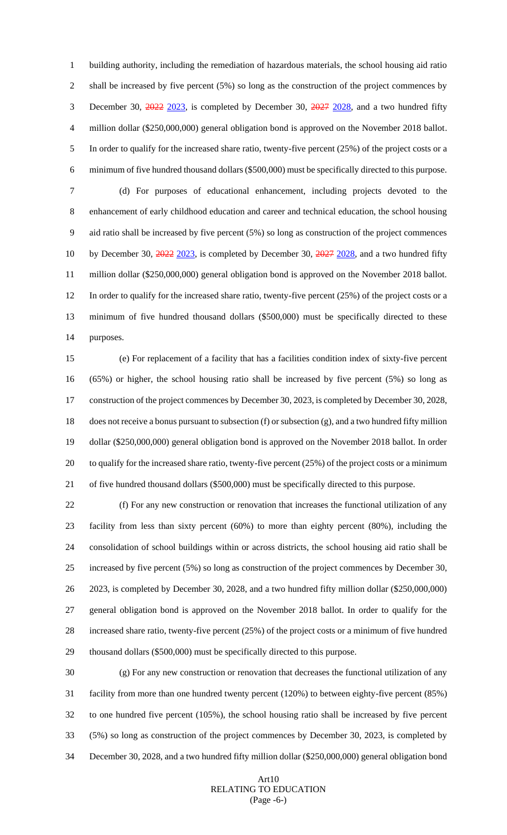building authority, including the remediation of hazardous materials, the school housing aid ratio 2 shall be increased by five percent (5%) so long as the construction of the project commences by 3 December 30, 2022 2023, is completed by December 30, 2027 2028, and a two hundred fifty million dollar (\$250,000,000) general obligation bond is approved on the November 2018 ballot. In order to qualify for the increased share ratio, twenty-five percent (25%) of the project costs or a minimum of five hundred thousand dollars (\$500,000) must be specifically directed to this purpose. (d) For purposes of educational enhancement, including projects devoted to the enhancement of early childhood education and career and technical education, the school housing aid ratio shall be increased by five percent (5%) so long as construction of the project commences 10 by December 30, 2022 2023, is completed by December 30, 2027 2028, and a two hundred fifty million dollar (\$250,000,000) general obligation bond is approved on the November 2018 ballot. In order to qualify for the increased share ratio, twenty-five percent (25%) of the project costs or a minimum of five hundred thousand dollars (\$500,000) must be specifically directed to these purposes.

 (e) For replacement of a facility that has a facilities condition index of sixty-five percent (65%) or higher, the school housing ratio shall be increased by five percent (5%) so long as construction of the project commences by December 30, 2023, is completed by December 30, 2028, does not receive a bonus pursuant to subsection (f) or subsection (g), and a two hundred fifty million dollar (\$250,000,000) general obligation bond is approved on the November 2018 ballot. In order to qualify for the increased share ratio, twenty-five percent (25%) of the project costs or a minimum of five hundred thousand dollars (\$500,000) must be specifically directed to this purpose.

 (f) For any new construction or renovation that increases the functional utilization of any facility from less than sixty percent (60%) to more than eighty percent (80%), including the consolidation of school buildings within or across districts, the school housing aid ratio shall be increased by five percent (5%) so long as construction of the project commences by December 30, 2023, is completed by December 30, 2028, and a two hundred fifty million dollar (\$250,000,000) general obligation bond is approved on the November 2018 ballot. In order to qualify for the increased share ratio, twenty-five percent (25%) of the project costs or a minimum of five hundred thousand dollars (\$500,000) must be specifically directed to this purpose.

 (g) For any new construction or renovation that decreases the functional utilization of any facility from more than one hundred twenty percent (120%) to between eighty-five percent (85%) to one hundred five percent (105%), the school housing ratio shall be increased by five percent (5%) so long as construction of the project commences by December 30, 2023, is completed by December 30, 2028, and a two hundred fifty million dollar (\$250,000,000) general obligation bond

## Art10 RELATING TO EDUCATION (Page -6-)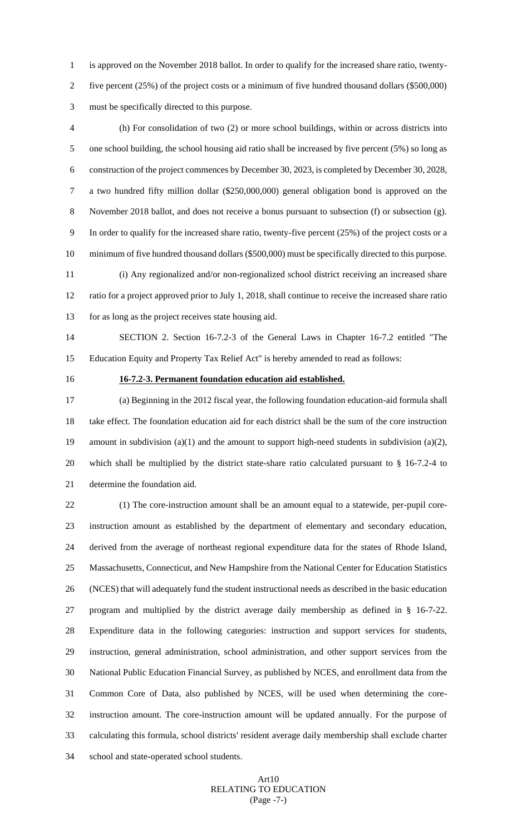is approved on the November 2018 ballot. In order to qualify for the increased share ratio, twenty- five percent (25%) of the project costs or a minimum of five hundred thousand dollars (\$500,000) must be specifically directed to this purpose.

 (h) For consolidation of two (2) or more school buildings, within or across districts into one school building, the school housing aid ratio shall be increased by five percent (5%) so long as construction of the project commences by December 30, 2023, is completed by December 30, 2028, a two hundred fifty million dollar (\$250,000,000) general obligation bond is approved on the November 2018 ballot, and does not receive a bonus pursuant to subsection (f) or subsection (g). In order to qualify for the increased share ratio, twenty-five percent (25%) of the project costs or a minimum of five hundred thousand dollars (\$500,000) must be specifically directed to this purpose. (i) Any regionalized and/or non-regionalized school district receiving an increased share ratio for a project approved prior to July 1, 2018, shall continue to receive the increased share ratio

for as long as the project receives state housing aid.

 SECTION 2. Section 16-7.2-3 of the General Laws in Chapter 16-7.2 entitled "The Education Equity and Property Tax Relief Act" is hereby amended to read as follows:

# **16-7.2-3. Permanent foundation education aid established.**

 (a) Beginning in the 2012 fiscal year, the following foundation education-aid formula shall take effect. The foundation education aid for each district shall be the sum of the core instruction amount in subdivision (a)(1) and the amount to support high-need students in subdivision (a)(2), which shall be multiplied by the district state-share ratio calculated pursuant to § 16-7.2-4 to determine the foundation aid.

 (1) The core-instruction amount shall be an amount equal to a statewide, per-pupil core- instruction amount as established by the department of elementary and secondary education, derived from the average of northeast regional expenditure data for the states of Rhode Island, Massachusetts, Connecticut, and New Hampshire from the National Center for Education Statistics (NCES) that will adequately fund the student instructional needs as described in the basic education program and multiplied by the district average daily membership as defined in § 16-7-22. Expenditure data in the following categories: instruction and support services for students, instruction, general administration, school administration, and other support services from the National Public Education Financial Survey, as published by NCES, and enrollment data from the Common Core of Data, also published by NCES, will be used when determining the core- instruction amount. The core-instruction amount will be updated annually. For the purpose of calculating this formula, school districts' resident average daily membership shall exclude charter school and state-operated school students.

# Art10 RELATING TO EDUCATION (Page -7-)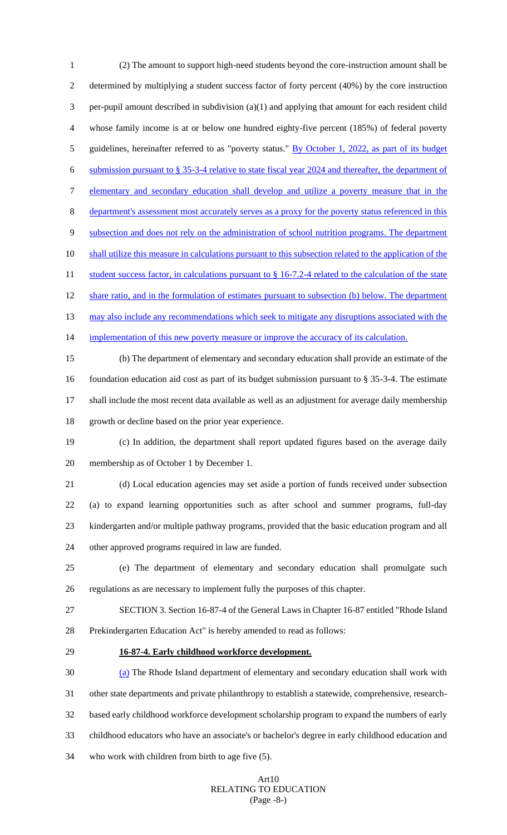(2) The amount to support high-need students beyond the core-instruction amount shall be determined by multiplying a student success factor of forty percent (40%) by the core instruction per-pupil amount described in subdivision (a)(1) and applying that amount for each resident child whose family income is at or below one hundred eighty-five percent (185%) of federal poverty 5 guidelines, hereinafter referred to as "poverty status." By October 1, 2022, as part of its budget submission pursuant to § 35-3-4 relative to state fiscal year 2024 and thereafter, the department of elementary and secondary education shall develop and utilize a poverty measure that in the 8 department's assessment most accurately serves as a proxy for the poverty status referenced in this subsection and does not rely on the administration of school nutrition programs. The department shall utilize this measure in calculations pursuant to this subsection related to the application of the 11 student success factor, in calculations pursuant to § 16-7.2-4 related to the calculation of the state 12 share ratio, and in the formulation of estimates pursuant to subsection (b) below. The department 13 may also include any recommendations which seek to mitigate any disruptions associated with the 14 implementation of this new poverty measure or improve the accuracy of its calculation. (b) The department of elementary and secondary education shall provide an estimate of the foundation education aid cost as part of its budget submission pursuant to § 35-3-4. The estimate shall include the most recent data available as well as an adjustment for average daily membership growth or decline based on the prior year experience. (c) In addition, the department shall report updated figures based on the average daily membership as of October 1 by December 1. (d) Local education agencies may set aside a portion of funds received under subsection (a) to expand learning opportunities such as after school and summer programs, full-day kindergarten and/or multiple pathway programs, provided that the basic education program and all other approved programs required in law are funded. (e) The department of elementary and secondary education shall promulgate such regulations as are necessary to implement fully the purposes of this chapter. SECTION 3. Section 16-87-4 of the General Laws in Chapter 16-87 entitled "Rhode Island Prekindergarten Education Act" is hereby amended to read as follows: **16-87-4. Early childhood workforce development.** (a) The Rhode Island department of elementary and secondary education shall work with other state departments and private philanthropy to establish a statewide, comprehensive, research- based early childhood workforce development scholarship program to expand the numbers of early childhood educators who have an associate's or bachelor's degree in early childhood education and who work with children from birth to age five (5).

#### Art10 RELATING TO EDUCATION (Page -8-)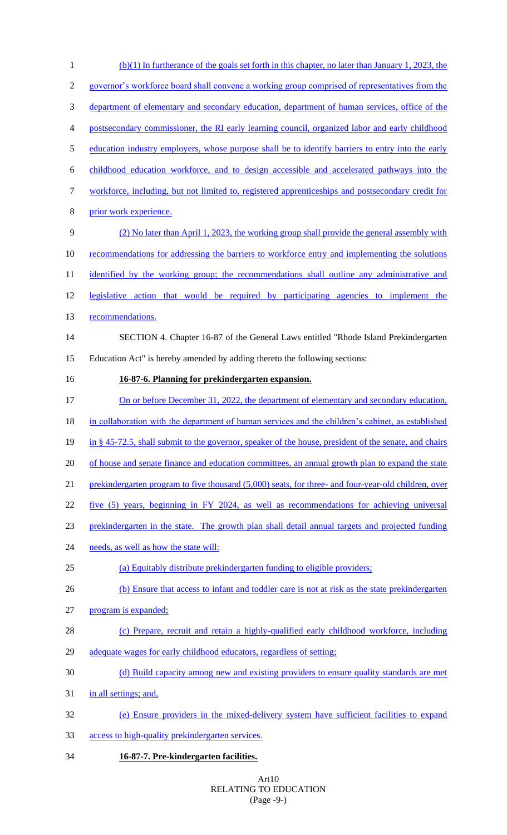(b)(1) In furtherance of the goals set forth in this chapter, no later than January 1, 2023, the governor's workforce board shall convene a working group comprised of representatives from the department of elementary and secondary education, department of human services, office of the postsecondary commissioner, the RI early learning council, organized labor and early childhood 5 education industry employers, whose purpose shall be to identify barriers to entry into the early childhood education workforce, and to design accessible and accelerated pathways into the workforce, including, but not limited to, registered apprenticeships and postsecondary credit for 8 prior work experience. (2) No later than April 1, 2023, the working group shall provide the general assembly with recommendations for addressing the barriers to workforce entry and implementing the solutions 11 identified by the working group; the recommendations shall outline any administrative and legislative action that would be required by participating agencies to implement the recommendations. SECTION 4. Chapter 16-87 of the General Laws entitled "Rhode Island Prekindergarten Education Act" is hereby amended by adding thereto the following sections: **16-87-6. Planning for prekindergarten expansion.**  17 On or before December 31, 2022, the department of elementary and secondary education, in collaboration with the department of human services and the children's cabinet, as established in § 45-72.5, shall submit to the governor, speaker of the house, president of the senate, and chairs 20 of house and senate finance and education committees, an annual growth plan to expand the state 21 prekindergarten program to five thousand (5,000) seats, for three- and four-year-old children, over five (5) years, beginning in FY 2024, as well as recommendations for achieving universal 23 prekindergarten in the state. The growth plan shall detail annual targets and projected funding 24 needs, as well as how the state will: (a) Equitably distribute prekindergarten funding to eligible providers; 26 (b) Ensure that access to infant and toddler care is not at risk as the state prekindergarten program is expanded; (c) Prepare, recruit and retain a highly-qualified early childhood workforce, including adequate wages for early childhood educators, regardless of setting; (d) Build capacity among new and existing providers to ensure quality standards are met in all settings; and, (e) Ensure providers in the mixed-delivery system have sufficient facilities to expand access to high-quality prekindergarten services. **16-87-7. Pre-kindergarten facilities.**

# Art10 RELATING TO EDUCATION (Page -9-)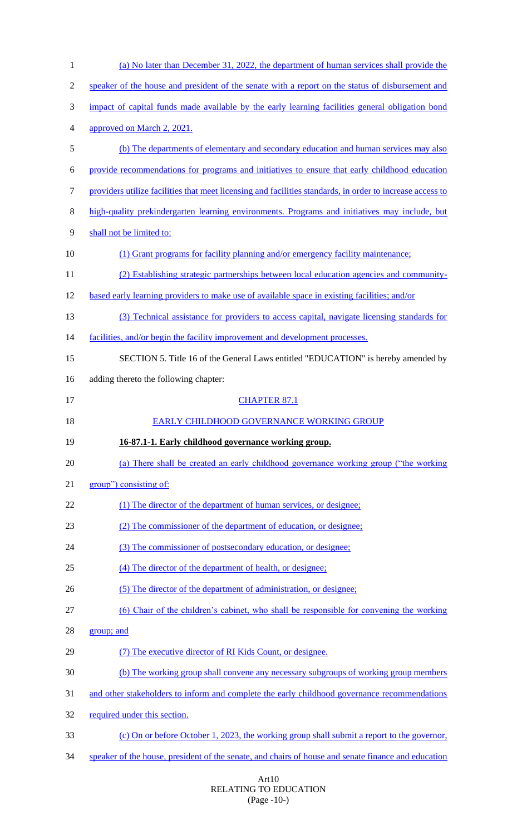| $\mathbf{1}$             | (a) No later than December 31, 2022, the department of human services shall provide the                   |
|--------------------------|-----------------------------------------------------------------------------------------------------------|
| $\overline{2}$           | speaker of the house and president of the senate with a report on the status of disbursement and          |
| 3                        | impact of capital funds made available by the early learning facilities general obligation bond           |
| $\overline{\mathcal{A}}$ | approved on March 2, 2021.                                                                                |
| 5                        | (b) The departments of elementary and secondary education and human services may also                     |
| 6                        | provide recommendations for programs and initiatives to ensure that early childhood education             |
| $\tau$                   | providers utilize facilities that meet licensing and facilities standards, in order to increase access to |
| $8\,$                    | high-quality prekindergarten learning environments. Programs and initiatives may include, but             |
| $\overline{9}$           | shall not be limited to:                                                                                  |
| 10                       | (1) Grant programs for facility planning and/or emergency facility maintenance;                           |
| 11                       | (2) Establishing strategic partnerships between local education agencies and community-                   |
| 12                       | based early learning providers to make use of available space in existing facilities; and/or              |
| 13                       | (3) Technical assistance for providers to access capital, navigate licensing standards for                |
| 14                       | facilities, and/or begin the facility improvement and development processes.                              |
| 15                       | SECTION 5. Title 16 of the General Laws entitled "EDUCATION" is hereby amended by                         |
| 16                       | adding thereto the following chapter:                                                                     |
| 17                       | <b>CHAPTER 87.1</b>                                                                                       |
| 18                       | EARLY CHILDHOOD GOVERNANCE WORKING GROUP                                                                  |
| 19                       | 16-87.1-1. Early childhood governance working group.                                                      |
| 20                       | (a) There shall be created an early childhood governance working group ("the working                      |
| 21                       | group") consisting of:                                                                                    |
| 22                       | (1) The director of the department of human services, or designee;                                        |
| 23                       | (2) The commissioner of the department of education, or designee;                                         |
| 24                       | (3) The commissioner of postsecondary education, or designee;                                             |
| 25                       | (4) The director of the department of health, or designee;                                                |
| 26                       | (5) The director of the department of administration, or designee;                                        |
| 27                       | (6) Chair of the children's cabinet, who shall be responsible for convening the working                   |
| 28                       | group; and                                                                                                |
| 29                       | (7) The executive director of RI Kids Count, or designee.                                                 |
| 30                       | (b) The working group shall convene any necessary subgroups of working group members                      |
| 31                       | and other stakeholders to inform and complete the early childhood governance recommendations              |
| 32                       |                                                                                                           |
|                          | required under this section.                                                                              |
| 33                       | (c) On or before October 1, 2023, the working group shall submit a report to the governor,                |
| 34                       | speaker of the house, president of the senate, and chairs of house and senate finance and education       |

#### Art10 RELATING TO EDUCATION (Page -10-)